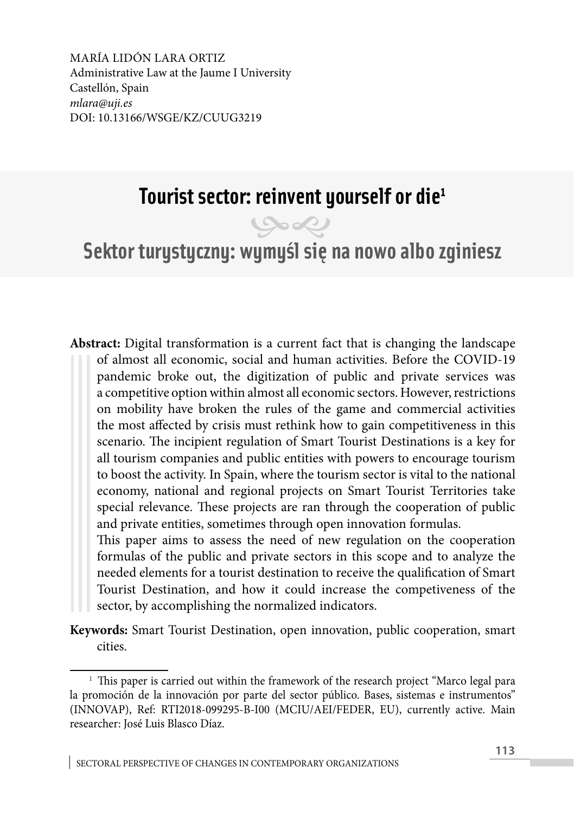MARÍA LIDÓN LARA ORTIZ Administrative Law at the Jaume I University Castellón, Spain *mlara@uji.es* DOI: 10.13166/WSGE/KZ/CUUG3219

# **Tourist sector: reinvent yourself or die1**



**Sektor turystyczny: wymyśl się na nowo albo zginiesz**

**Abstract:** Digital transformation is a current fact that is changing the landscape of almost all economic, social and human activities. Before the COVID-19 pandemic broke out, the digitization of public and private services was a competitive option within almost all economic sectors. However, restrictions on mobility have broken the rules of the game and commercial activities the most affected by crisis must rethink how to gain competitiveness in this scenario. The incipient regulation of Smart Tourist Destinations is a key for all tourism companies and public entities with powers to encourage tourism to boost the activity. In Spain, where the tourism sector is vital to the national economy, national and regional projects on Smart Tourist Territories take special relevance. These projects are ran through the cooperation of public and private entities, sometimes through open innovation formulas.

This paper aims to assess the need of new regulation on the cooperation formulas of the public and private sectors in this scope and to analyze the needed elements for a tourist destination to receive the qualification of Smart Tourist Destination, and how it could increase the competiveness of the sector, by accomplishing the normalized indicators.

**Keywords:** Smart Tourist Destination, open innovation, public cooperation, smart cities.

 $1$  This paper is carried out within the framework of the research project "Marco legal para la promoción de la innovación por parte del sector público. Bases, sistemas e instrumentos" (INNOVAP), Ref: RTI2018-099295-B-I00 (MCIU/AEI/FEDER, EU), currently active. Main researcher: José Luis Blasco Díaz.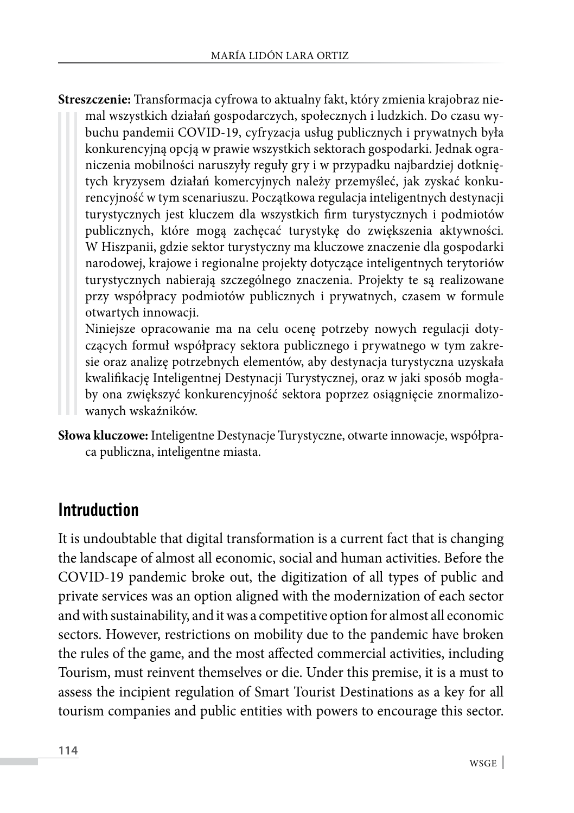**Streszczenie:** Transformacja cyfrowa to aktualny fakt, który zmienia krajobraz niemal wszystkich działań gospodarczych, społecznych i ludzkich. Do czasu wybuchu pandemii COVID-19, cyfryzacja usług publicznych i prywatnych była konkurencyjną opcją w prawie wszystkich sektorach gospodarki. Jednak ograniczenia mobilności naruszyły reguły gry i w przypadku najbardziej dotkniętych kryzysem działań komercyjnych należy przemyśleć, jak zyskać konkurencyjność w tym scenariuszu. Początkowa regulacja inteligentnych destynacji turystycznych jest kluczem dla wszystkich firm turystycznych i podmiotów publicznych, które mogą zachęcać turystykę do zwiększenia aktywności. W Hiszpanii, gdzie sektor turystyczny ma kluczowe znaczenie dla gospodarki narodowej, krajowe i regionalne projekty dotyczące inteligentnych terytoriów turystycznych nabierają szczególnego znaczenia. Projekty te są realizowane przy współpracy podmiotów publicznych i prywatnych, czasem w formule otwartych innowacji.

Niniejsze opracowanie ma na celu ocenę potrzeby nowych regulacji dotyczących formuł współpracy sektora publicznego i prywatnego w tym zakresie oraz analizę potrzebnych elementów, aby destynacja turystyczna uzyskała kwalifikację Inteligentnej Destynacji Turystycznej, oraz w jaki sposób mogłaby ona zwiększyć konkurencyjność sektora poprzez osiągnięcie znormalizowanych wskaźników.

**Słowa kluczowe:** Inteligentne Destynacje Turystyczne, otwarte innowacje, współpraca publiczna, inteligentne miasta.

#### **Intruduction**

It is undoubtable that digital transformation is a current fact that is changing the landscape of almost all economic, social and human activities. Before the COVID-19 pandemic broke out, the digitization of all types of public and private services was an option aligned with the modernization of each sector and with sustainability, and it was a competitive option for almost all economic sectors. However, restrictions on mobility due to the pandemic have broken the rules of the game, and the most affected commercial activities, including Tourism, must reinvent themselves or die. Under this premise, it is a must to assess the incipient regulation of Smart Tourist Destinations as a key for all tourism companies and public entities with powers to encourage this sector.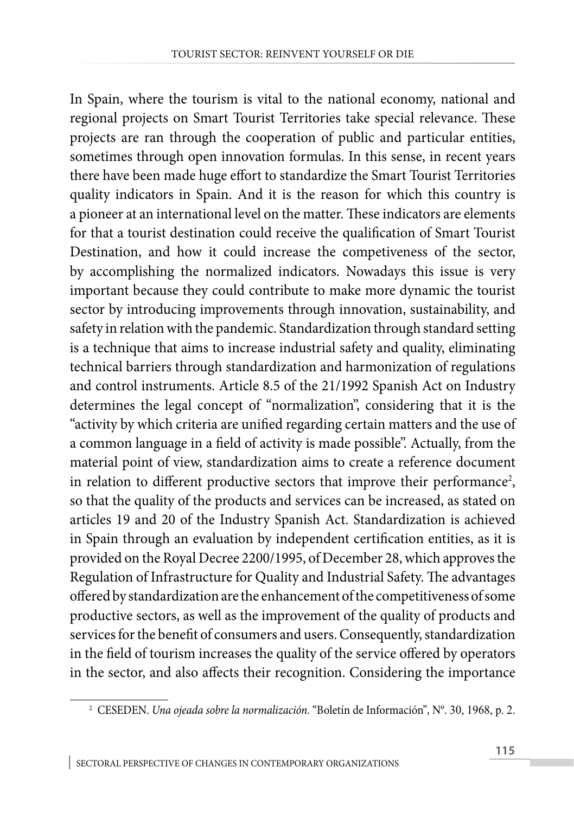In Spain, where the tourism is vital to the national economy, national and regional projects on Smart Tourist Territories take special relevance. These projects are ran through the cooperation of public and particular entities, sometimes through open innovation formulas. In this sense, in recent years there have been made huge effort to standardize the Smart Tourist Territories quality indicators in Spain. And it is the reason for which this country is a pioneer at an international level on the matter. These indicators are elements for that a tourist destination could receive the qualification of Smart Tourist Destination, and how it could increase the competiveness of the sector, by accomplishing the normalized indicators. Nowadays this issue is very important because they could contribute to make more dynamic the tourist sector by introducing improvements through innovation, sustainability, and safety in relation with the pandemic. Standardization through standard setting is a technique that aims to increase industrial safety and quality, eliminating technical barriers through standardization and harmonization of regulations and control instruments. Article 8.5 of the 21/1992 Spanish Act on Industry determines the legal concept of "normalization", considering that it is the "activity by which criteria are unified regarding certain matters and the use of a common language in a field of activity is made possible". Actually, from the material point of view, standardization aims to create a reference document in relation to different productive sectors that improve their performance<sup>2</sup>, so that the quality of the products and services can be increased, as stated on articles 19 and 20 of the Industry Spanish Act. Standardization is achieved in Spain through an evaluation by independent certification entities, as it is provided on the Royal Decree 2200/1995, of December 28, which approves the Regulation of Infrastructure for Quality and Industrial Safety. The advantages offered by standardization are the enhancement of the competitiveness of some productive sectors, as well as the improvement of the quality of products and services for the benefit of consumers and users. Consequently, standardization in the field of tourism increases the quality of the service offered by operators in the sector, and also affects their recognition. Considering the importance

<sup>2</sup> CESEDEN. *Una ojeada sobre la normalización*. "Boletín de Información"*,* Nº. 30, 1968, p. 2.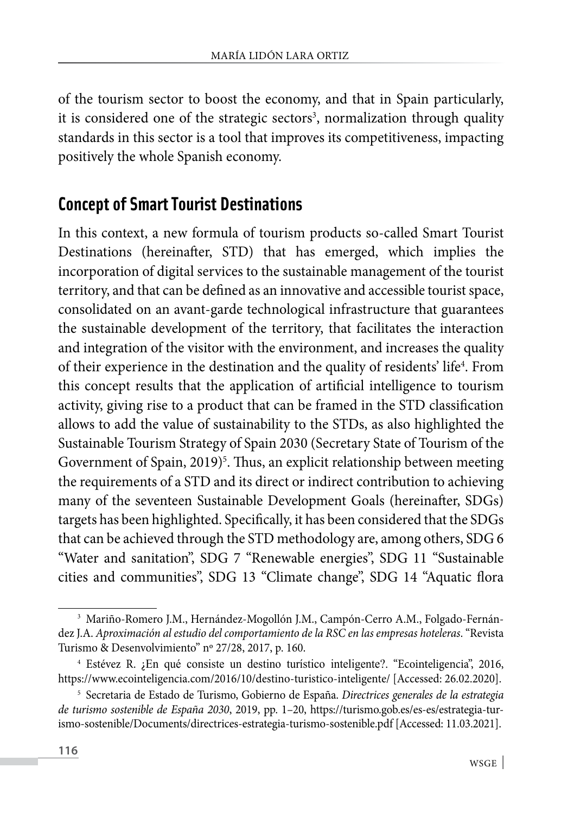of the tourism sector to boost the economy, and that in Spain particularly, it is considered one of the strategic sectors<sup>3</sup>, normalization through quality standards in this sector is a tool that improves its competitiveness, impacting positively the whole Spanish economy.

## **Concept of Smart Tourist Destinations**

In this context, a new formula of tourism products so-called Smart Tourist Destinations (hereinafter, STD) that has emerged, which implies the incorporation of digital services to the sustainable management of the tourist territory, and that can be defined as an innovative and accessible tourist space, consolidated on an avant-garde technological infrastructure that guarantees the sustainable development of the territory, that facilitates the interaction and integration of the visitor with the environment, and increases the quality of their experience in the destination and the quality of residents' life<sup>4</sup>. From this concept results that the application of artificial intelligence to tourism activity, giving rise to a product that can be framed in the STD classification allows to add the value of sustainability to the STDs, as also highlighted the Sustainable Tourism Strategy of Spain 2030 (Secretary State of Tourism of the Government of Spain, 2019)<sup>5</sup>. Thus, an explicit relationship between meeting the requirements of a STD and its direct or indirect contribution to achieving many of the seventeen Sustainable Development Goals (hereinafter, SDGs) targets has been highlighted. Specifically, it has been considered that the SDGs that can be achieved through the STD methodology are, among others, SDG 6 "Water and sanitation", SDG 7 "Renewable energies", SDG 11 "Sustainable cities and communities", SDG 13 "Climate change", SDG 14 "Aquatic flora

<sup>&</sup>lt;sup>3</sup> Mariño-Romero J.M., Hernández-Mogollón J.M., Campón-Cerro A.M., Folgado-Fernández J.A. *Aproximación al estudio del comportamiento de la RSC en las empresas hoteleras*. "Revista Turismo & Desenvolvimiento" nº 27/28, 2017, p. 160.

<sup>4</sup> Estévez R. ¿En qué consiste un destino turístico inteligente?. "Ecointeligencia", 2016, <https://www.ecointeligencia.com/2016/10/destino-turistico-inteligente/> [Accessed: 26.02.2020].

<sup>5</sup> Secretaria de Estado de Turismo, Gobierno de España. *Directrices generales de la estrategia de turismo sostenible de España 2030*, 2019, pp. 1–20, https://turismo.gob.es/es-es/estrategia-turismo-sostenible/Documents/directrices-estrategia-turismo-sostenible.pdf [Accessed: 11.03.2021].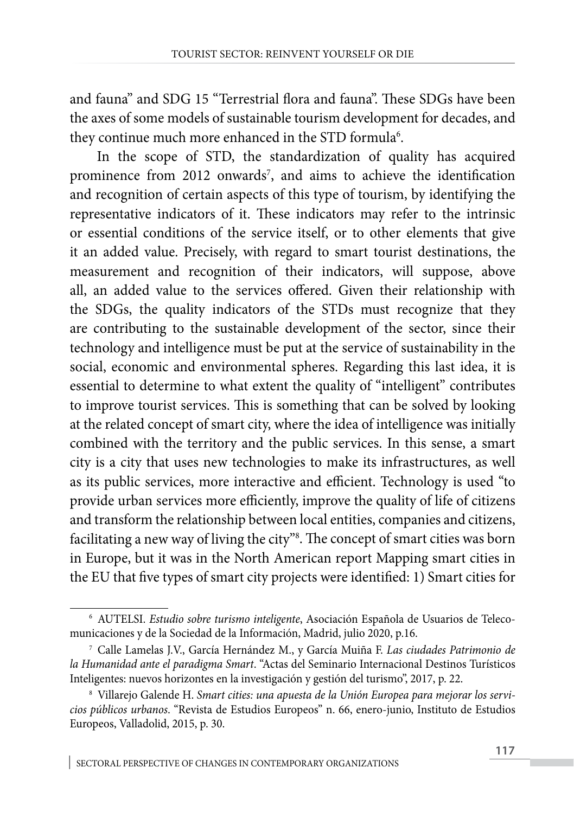and fauna" and SDG 15 "Terrestrial flora and fauna". These SDGs have been the axes of some models of sustainable tourism development for decades, and they continue much more enhanced in the STD formula $\delta$ .

In the scope of STD, the standardization of quality has acquired prominence from 2012 onwards<sup>7</sup>, and aims to achieve the identification and recognition of certain aspects of this type of tourism, by identifying the representative indicators of it. These indicators may refer to the intrinsic or essential conditions of the service itself, or to other elements that give it an added value. Precisely, with regard to smart tourist destinations, the measurement and recognition of their indicators, will suppose, above all, an added value to the services offered. Given their relationship with the SDGs, the quality indicators of the STDs must recognize that they are contributing to the sustainable development of the sector, since their technology and intelligence must be put at the service of sustainability in the social, economic and environmental spheres. Regarding this last idea, it is essential to determine to what extent the quality of "intelligent" contributes to improve tourist services. This is something that can be solved by looking at the related concept of smart city, where the idea of intelligence was initially combined with the territory and the public services. In this sense, a smart city is a city that uses new technologies to make its infrastructures, as well as its public services, more interactive and efficient. Technology is used "to provide urban services more efficiently, improve the quality of life of citizens and transform the relationship between local entities, companies and citizens, facilitating a new way of living the city"8 . The concept of smart cities was born in Europe, but it was in the North American report Mapping smart cities in the EU that five types of smart city projects were identified: 1) Smart cities for

<sup>6</sup> AUTELSI. *Estudio sobre turismo inteligente*, Asociación Española de Usuarios de Telecomunicaciones y de la Sociedad de la Información, Madrid, julio 2020, p.16.

<sup>7</sup> Calle Lamelas J.V., García Hernández M., y García Muiña F. *Las ciudades Patrimonio de la Humanidad ante el paradigma Smart*. "Actas del Seminario Internacional Destinos Turísticos Inteligentes: nuevos horizontes en la investigación y gestión del turismo", 2017, p. 22.

<sup>8</sup> Villarejo Galende H. *Smart cities: una apuesta de la Unión Europea para mejorar los servicios públicos urbanos*. "Revista de Estudios Europeos" n. 66, enero-junio, Instituto de Estudios Europeos, Valladolid, 2015, p. 30.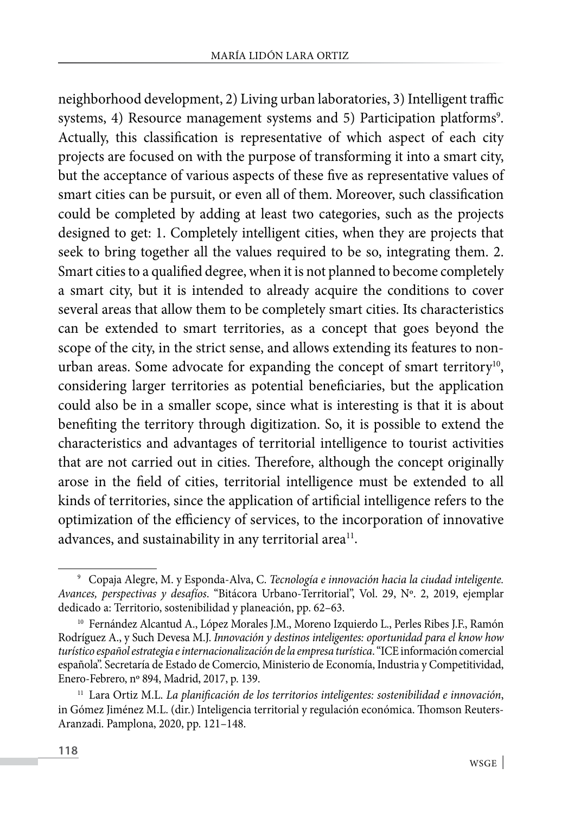neighborhood development, 2) Living urban laboratories, 3) Intelligent traffic systems, 4) Resource management systems and 5) Participation platforms<sup>9</sup>. Actually, this classification is representative of which aspect of each city projects are focused on with the purpose of transforming it into a smart city, but the acceptance of various aspects of these five as representative values of smart cities can be pursuit, or even all of them. Moreover, such classification could be completed by adding at least two categories, such as the projects designed to get: 1. Completely intelligent cities, when they are projects that seek to bring together all the values required to be so, integrating them. 2. Smart cities to a qualified degree, when it is not planned to become completely a smart city, but it is intended to already acquire the conditions to cover several areas that allow them to be completely smart cities. Its characteristics can be extended to smart territories, as a concept that goes beyond the scope of the city, in the strict sense, and allows extending its features to nonurban areas. Some advocate for expanding the concept of smart territory<sup>10</sup>, considering larger territories as potential beneficiaries, but the application could also be in a smaller scope, since what is interesting is that it is about benefiting the territory through digitization. So, it is possible to extend the characteristics and advantages of territorial intelligence to tourist activities that are not carried out in cities. Therefore, although the concept originally arose in the field of cities, territorial intelligence must be extended to all kinds of territories, since the application of artificial intelligence refers to the optimization of the efficiency of services, to the incorporation of innovative advances, and sustainability in any territorial area<sup>11</sup>.

<sup>9</sup> Copaja Alegre, M. y Esponda-Alva, C. *Tecnología e innovación hacia la ciudad inteligente. Avances, perspectivas y desafíos*. "Bitácora Urbano-Territorial", Vol. 29, Nº. 2, 2019, ejemplar dedicado a: Territorio, sostenibilidad y planeación, pp. 62–63.

<sup>10</sup> Fernández Alcantud A., López Morales J.M., Moreno Izquierdo L., Perles Ribes J.F., Ramón Rodríguez A., y Such Devesa M.J. *Innovación y destinos inteligentes: oportunidad para el know how turístico español estrategia e internacionalización de la empresa turística*. "ICE información comercial española". Secretaría de Estado de Comercio, Ministerio de Economía, Industria y Competitividad, Enero-Febrero, nº 894, Madrid, 2017, p. 139.

<sup>11</sup> Lara Ortiz M.L. *La planificación de los territorios inteligentes: sostenibilidad e innovación*, in Gómez Jiménez M.L. (dir.) Inteligencia territorial y regulación económica. Thomson Reuters-Aranzadi. Pamplona, 2020, pp. 121–148.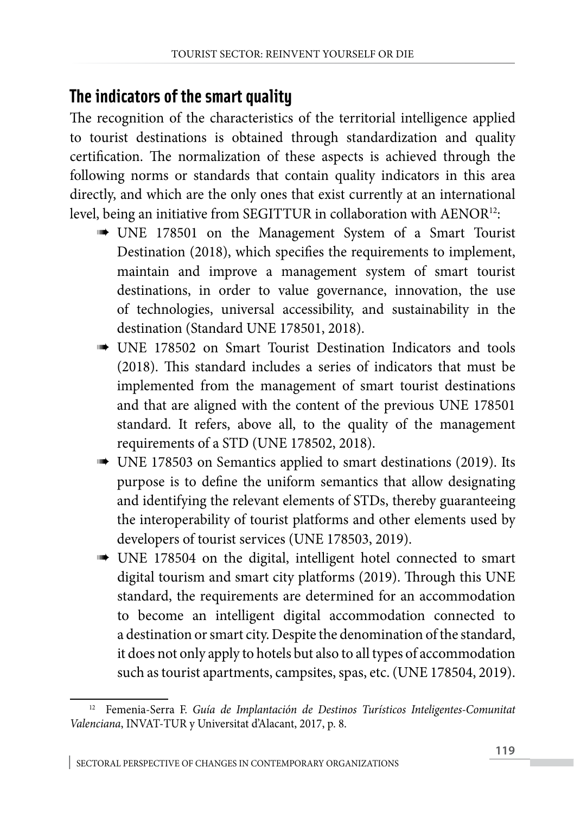### **The indicators of the smart quality**

The recognition of the characteristics of the territorial intelligence applied to tourist destinations is obtained through standardization and quality certification. The normalization of these aspects is achieved through the following norms or standards that contain quality indicators in this area directly, and which are the only ones that exist currently at an international level, being an initiative from SEGITTUR in collaboration with AENOR<sup>12</sup>:

- UNE 178501 on the Management System of a Smart Tourist Destination (2018), which specifies the requirements to implement, maintain and improve a management system of smart tourist destinations, in order to value governance, innovation, the use of technologies, universal accessibility, and sustainability in the destination (Standard UNE 178501, 2018).
- **UNE 178502** on Smart Tourist Destination Indicators and tools (2018). This standard includes a series of indicators that must be implemented from the management of smart tourist destinations and that are aligned with the content of the previous UNE 178501 standard. It refers, above all, to the quality of the management requirements of a STD (UNE 178502, 2018).
- UNE 178503 on Semantics applied to smart destinations (2019). Its purpose is to define the uniform semantics that allow designating and identifying the relevant elements of STDs, thereby guaranteeing the interoperability of tourist platforms and other elements used by developers of tourist services (UNE 178503, 2019).
- UNE 178504 on the digital, intelligent hotel connected to smart digital tourism and smart city platforms (2019). Through this UNE standard, the requirements are determined for an accommodation to become an intelligent digital accommodation connected to a destination or smart city. Despite the denomination of the standard, it does not only apply to hotels but also to all types of accommodation such as tourist apartments, campsites, spas, etc. (UNE 178504, 2019).

<sup>12</sup> Femenia-Serra F. *Guía de Implantación de Destinos Turísticos Inteligentes-Comunitat Valenciana*, INVAT-TUR y Universitat d'Alacant, 2017, p. 8.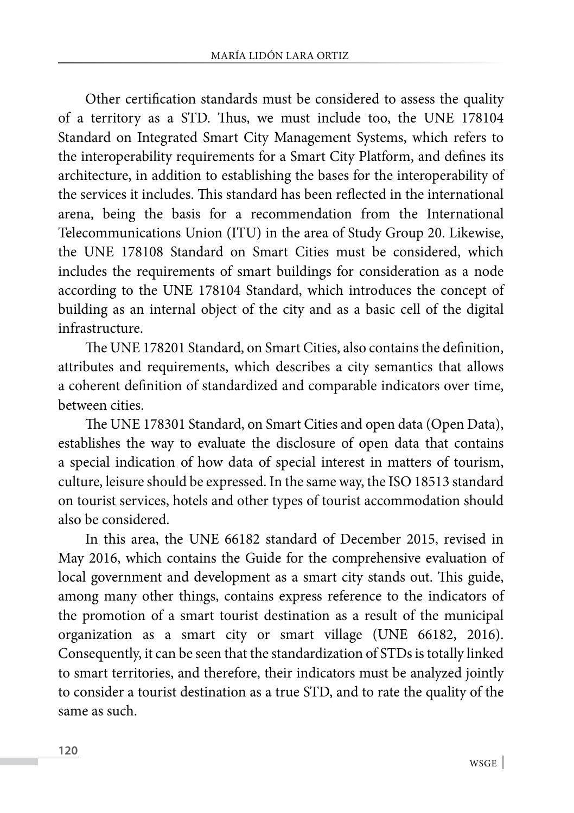Other certification standards must be considered to assess the quality of a territory as a STD. Thus, we must include too, the UNE 178104 Standard on Integrated Smart City Management Systems, which refers to the interoperability requirements for a Smart City Platform, and defines its architecture, in addition to establishing the bases for the interoperability of the services it includes. This standard has been reflected in the international arena, being the basis for a recommendation from the International Telecommunications Union (ITU) in the area of Study Group 20. Likewise, the UNE 178108 Standard on Smart Cities must be considered, which includes the requirements of smart buildings for consideration as a node according to the UNE 178104 Standard, which introduces the concept of building as an internal object of the city and as a basic cell of the digital infrastructure.

The UNE 178201 Standard, on Smart Cities, also contains the definition, attributes and requirements, which describes a city semantics that allows a coherent definition of standardized and comparable indicators over time, between cities.

The UNE 178301 Standard, on Smart Cities and open data (Open Data), establishes the way to evaluate the disclosure of open data that contains a special indication of how data of special interest in matters of tourism, culture, leisure should be expressed. In the same way, the ISO 18513 standard on tourist services, hotels and other types of tourist accommodation should also be considered.

In this area, the UNE 66182 standard of December 2015, revised in May 2016, which contains the Guide for the comprehensive evaluation of local government and development as a smart city stands out. This guide, among many other things, contains express reference to the indicators of the promotion of a smart tourist destination as a result of the municipal organization as a smart city or smart village (UNE 66182, 2016). Consequently, it can be seen that the standardization of STDs is totally linked to smart territories, and therefore, their indicators must be analyzed jointly to consider a tourist destination as a true STD, and to rate the quality of the same as such.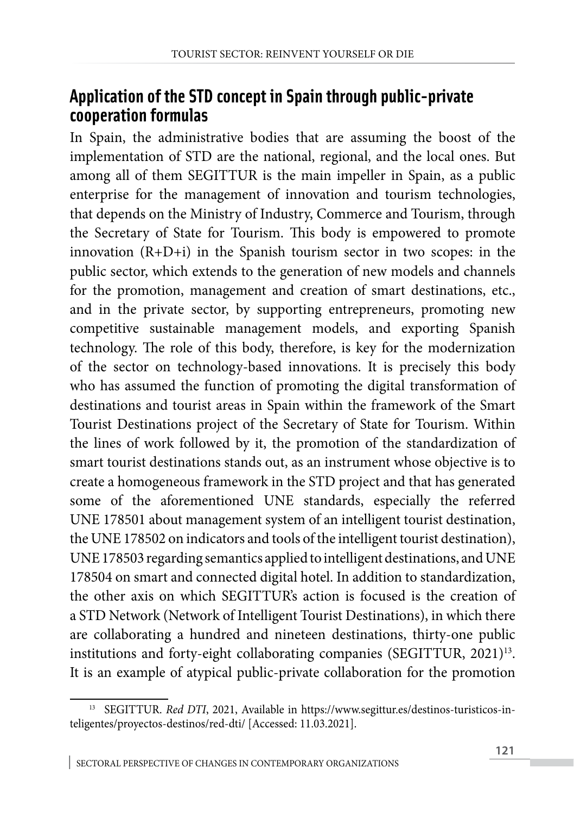#### **Application of the STD concept in Spain through public-private cooperation formulas**

In Spain, the administrative bodies that are assuming the boost of the implementation of STD are the national, regional, and the local ones. But among all of them SEGITTUR is the main impeller in Spain, as a public enterprise for the management of innovation and tourism technologies, that depends on the Ministry of Industry, Commerce and Tourism, through the Secretary of State for Tourism. This body is empowered to promote innovation (R+D+i) in the Spanish tourism sector in two scopes: in the public sector, which extends to the generation of new models and channels for the promotion, management and creation of smart destinations, etc., and in the private sector, by supporting entrepreneurs, promoting new competitive sustainable management models, and exporting Spanish technology. The role of this body, therefore, is key for the modernization of the sector on technology-based innovations. It is precisely this body who has assumed the function of promoting the digital transformation of destinations and tourist areas in Spain within the framework of the Smart Tourist Destinations project of the Secretary of State for Tourism. Within the lines of work followed by it, the promotion of the standardization of smart tourist destinations stands out, as an instrument whose objective is to create a homogeneous framework in the STD project and that has generated some of the aforementioned UNE standards, especially the referred UNE 178501 about management system of an intelligent tourist destination, the UNE 178502 on indicators and tools of the intelligent tourist destination), UNE 178503 regarding semantics applied to intelligent destinations, and UNE 178504 on smart and connected digital hotel. In addition to standardization, the other axis on which SEGITTUR's action is focused is the creation of a STD Network (Network of Intelligent Tourist Destinations), in which there are collaborating a hundred and nineteen destinations, thirty-one public institutions and forty-eight collaborating companies (SEGITTUR, 2021)<sup>13</sup>. It is an example of atypical public-private collaboration for the promotion

<sup>&</sup>lt;sup>13</sup> SEGITTUR. *Red DTI*, 2021, Available in https://www.segittur.es/destinos-turisticos-inteligentes/proyectos-destinos/red-dti/ [Accessed: 11.03.2021].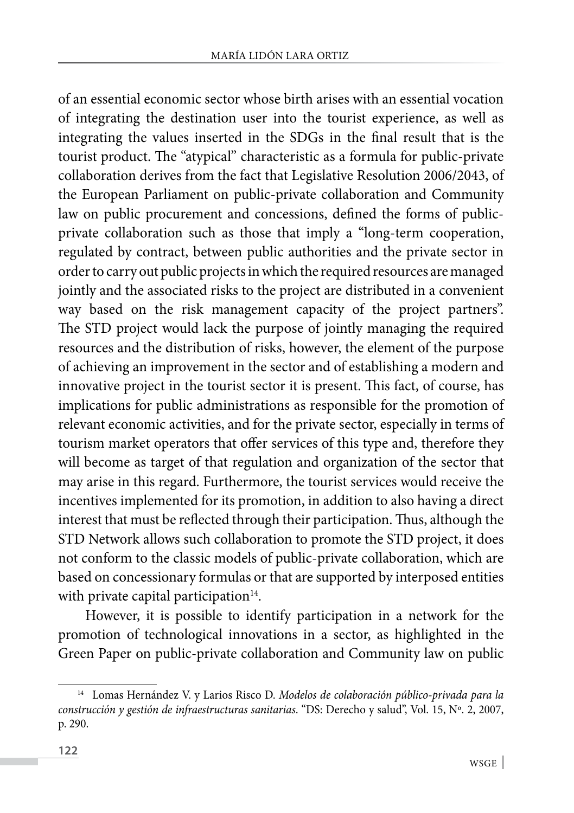of an essential economic sector whose birth arises with an essential vocation of integrating the destination user into the tourist experience, as well as integrating the values inserted in the SDGs in the final result that is the tourist product. The "atypical" characteristic as a formula for public-private collaboration derives from the fact that Legislative Resolution 2006/2043, of the European Parliament on public-private collaboration and Community law on public procurement and concessions, defined the forms of publicprivate collaboration such as those that imply a "long-term cooperation, regulated by contract, between public authorities and the private sector in order to carry out public projects in which the required resources are managed jointly and the associated risks to the project are distributed in a convenient way based on the risk management capacity of the project partners". The STD project would lack the purpose of jointly managing the required resources and the distribution of risks, however, the element of the purpose of achieving an improvement in the sector and of establishing a modern and innovative project in the tourist sector it is present. This fact, of course, has implications for public administrations as responsible for the promotion of relevant economic activities, and for the private sector, especially in terms of tourism market operators that offer services of this type and, therefore they will become as target of that regulation and organization of the sector that may arise in this regard. Furthermore, the tourist services would receive the incentives implemented for its promotion, in addition to also having a direct interest that must be reflected through their participation. Thus, although the STD Network allows such collaboration to promote the STD project, it does not conform to the classic models of public-private collaboration, which are based on concessionary formulas or that are supported by interposed entities with private capital participation $14$ .

However, it is possible to identify participation in a network for the promotion of technological innovations in a sector, as highlighted in the Green Paper on public-private collaboration and Community law on public

<sup>14</sup> Lomas Hernández V. y Larios Risco D. *Modelos de colaboración público-privada para la construcción y gestión de infraestructuras sanitarias*. "DS: Derecho y salud", Vol. 15, Nº. 2, 2007, p. 290.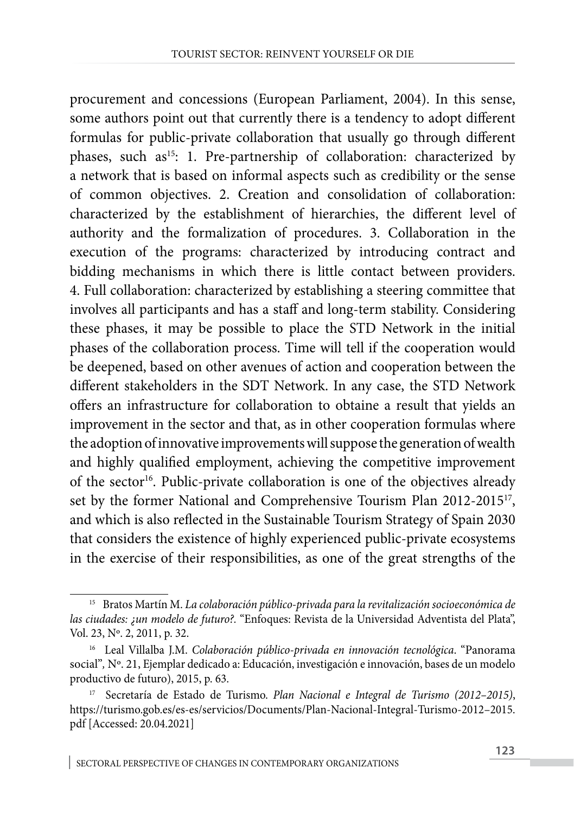procurement and concessions (European Parliament, 2004). In this sense, some authors point out that currently there is a tendency to adopt different formulas for public-private collaboration that usually go through different phases, such as<sup>15</sup>: 1. Pre-partnership of collaboration: characterized by a network that is based on informal aspects such as credibility or the sense of common objectives. 2. Creation and consolidation of collaboration: characterized by the establishment of hierarchies, the different level of authority and the formalization of procedures. 3. Collaboration in the execution of the programs: characterized by introducing contract and bidding mechanisms in which there is little contact between providers. 4. Full collaboration: characterized by establishing a steering committee that involves all participants and has a staff and long-term stability. Considering these phases, it may be possible to place the STD Network in the initial phases of the collaboration process. Time will tell if the cooperation would be deepened, based on other avenues of action and cooperation between the different stakeholders in the SDT Network. In any case, the STD Network offers an infrastructure for collaboration to obtaine a result that yields an improvement in the sector and that, as in other cooperation formulas where the adoption of innovative improvements will suppose the generation of wealth and highly qualified employment, achieving the competitive improvement of the sector<sup>16</sup>. Public-private collaboration is one of the objectives already set by the former National and Comprehensive Tourism Plan 2012-201517, and which is also reflected in the Sustainable Tourism Strategy of Spain 2030 that considers the existence of highly experienced public-private ecosystems in the exercise of their responsibilities, as one of the great strengths of the

<sup>15</sup> Bratos Martín M. *La colaboración público-privada para la revitalización socioeconómica de las ciudades: ¿un modelo de futuro?.* "Enfoques: Revista de la Universidad Adventista del Plata", Vol. 23, Nº. 2, 2011, p. 32.

<sup>16</sup> Leal Villalba J.M. *Colaboración público-privada en innovación tecnológica*. ["Panorama](https://dialnet.unirioja.es/servlet/revista?codigo=7368) [social](https://dialnet.unirioja.es/servlet/revista?codigo=7368)"*,* [Nº. 21, E](https://dialnet.unirioja.es/ejemplar/484753)jemplar dedicado a: Educación, investigación e innovación, bases de un modelo productivo de futuro), 2015, p. 63.

<sup>17</sup> Secretaría de Estado de Turismo. *Plan Nacional e Integral de Turismo (2012–2015)*, https://turismo.gob.es/es-es/servicios/Documents/Plan-Nacional-Integral-Turismo-2012–2015. pdf [Accessed: 20.04.2021]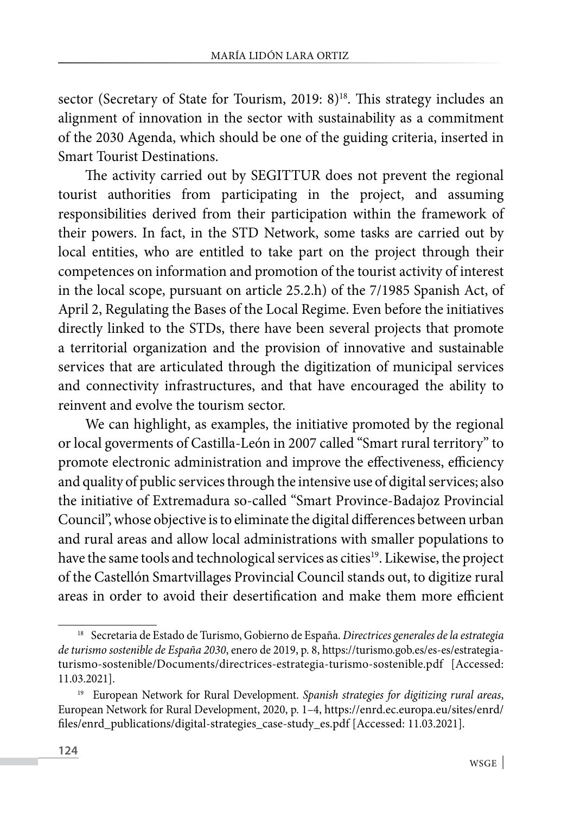sector (Secretary of State for Tourism, 2019: 8)<sup>18</sup>. This strategy includes an alignment of innovation in the sector with sustainability as a commitment of the 2030 Agenda, which should be one of the guiding criteria, inserted in Smart Tourist Destinations.

The activity carried out by SEGITTUR does not prevent the regional tourist authorities from participating in the project, and assuming responsibilities derived from their participation within the framework of their powers. In fact, in the STD Network, some tasks are carried out by local entities, who are entitled to take part on the project through their competences on information and promotion of the tourist activity of interest in the local scope, pursuant on article 25.2.h) of the 7/1985 Spanish Act, of April 2, Regulating the Bases of the Local Regime. Even before the initiatives directly linked to the STDs, there have been several projects that promote a territorial organization and the provision of innovative and sustainable services that are articulated through the digitization of municipal services and connectivity infrastructures, and that have encouraged the ability to reinvent and evolve the tourism sector.

We can highlight, as examples, the initiative promoted by the regional or local goverments of Castilla-León in 2007 called "Smart rural territory" to promote electronic administration and improve the effectiveness, efficiency and quality of public services through the intensive use of digital services; also the initiative of Extremadura so-called "Smart Province-Badajoz Provincial Council", whose objective is to eliminate the digital differences between urban and rural areas and allow local administrations with smaller populations to have the same tools and technological services as cities<sup>19</sup>. Likewise, the project of the Castellón Smartvillages Provincial Council stands out, to digitize rural areas in order to avoid their desertification and make them more efficient

<sup>18</sup> Secretaria de Estado de Turismo, Gobierno de España. *Directrices generales de la estrategia de turismo sostenible de España 2030*, enero de 2019, p. 8, https://turismo.gob.es/es-es/estrategiaturismo-sostenible/Documents/directrices-estrategia-turismo-sostenible.pdf [Accessed: 11.03.2021].

<sup>19</sup> European Network for Rural Development. *Spanish strategies for digitizing rural areas*, European Network for Rural Development, 2020, p. 1–4, [https://enrd.ec.europa.eu/sites/enrd/](https://enrd.ec.europa.eu/sites/enrd/files/enrd_publications/digital-strategies_case-study_es.pdf) [files/enrd\\_publications/digital-strategies\\_case-study\\_es.pdf](https://enrd.ec.europa.eu/sites/enrd/files/enrd_publications/digital-strategies_case-study_es.pdf) [Accessed: 11.03.2021].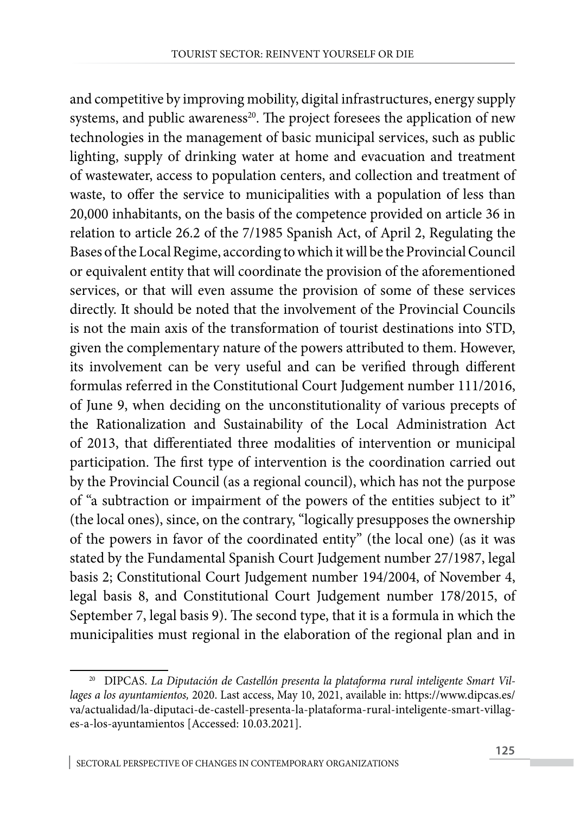and competitive by improving mobility, digital infrastructures, energy supply systems, and public awareness<sup>20</sup>. The project foresees the application of new technologies in the management of basic municipal services, such as public lighting, supply of drinking water at home and evacuation and treatment of wastewater, access to population centers, and collection and treatment of waste, to offer the service to municipalities with a population of less than 20,000 inhabitants, on the basis of the competence provided on article 36 in relation to article 26.2 of the 7/1985 Spanish Act, of April 2, Regulating the Bases of the Local Regime, according to which it will be the Provincial Council or equivalent entity that will coordinate the provision of the aforementioned services, or that will even assume the provision of some of these services directly. It should be noted that the involvement of the Provincial Councils is not the main axis of the transformation of tourist destinations into STD, given the complementary nature of the powers attributed to them. However, its involvement can be very useful and can be verified through different formulas referred in the Constitutional Court Judgement number 111/2016, of June 9, when deciding on the unconstitutionality of various precepts of the Rationalization and Sustainability of the Local Administration Act of 2013, that differentiated three modalities of intervention or municipal participation. The first type of intervention is the coordination carried out by the Provincial Council (as a regional council), which has not the purpose of "a subtraction or impairment of the powers of the entities subject to it" (the local ones), since, on the contrary, "logically presupposes the ownership of the powers in favor of the coordinated entity" (the local one) (as it was stated by the Fundamental Spanish Court Judgement number 27/1987, legal basis 2; Constitutional Court Judgement number 194/2004, of November 4, legal basis 8, and Constitutional Court Judgement number 178/2015, of September 7, legal basis 9). The second type, that it is a formula in which the municipalities must regional in the elaboration of the regional plan and in

<sup>&</sup>lt;sup>20</sup> DIPCAS. La Diputación de Castellón presenta la plataforma rural inteligente Smart Vil*lages a los ayuntamientos,* 2020. Last access, May 10, 2021, available in: [https://www.dipcas.es/](https://www.dipcas.es/va/actualidad/la-diputaci-de-castell-presenta-la-plataforma-rural-inteligente-smart-villages-a-los-ayuntamientos) [va/actualidad/la-diputaci-de-castell-presenta-la-plataforma-rural-inteligente-smart-villag](https://www.dipcas.es/va/actualidad/la-diputaci-de-castell-presenta-la-plataforma-rural-inteligente-smart-villages-a-los-ayuntamientos)[es-a-los-ayuntamientos](https://www.dipcas.es/va/actualidad/la-diputaci-de-castell-presenta-la-plataforma-rural-inteligente-smart-villages-a-los-ayuntamientos) [Accessed: 10.03.2021].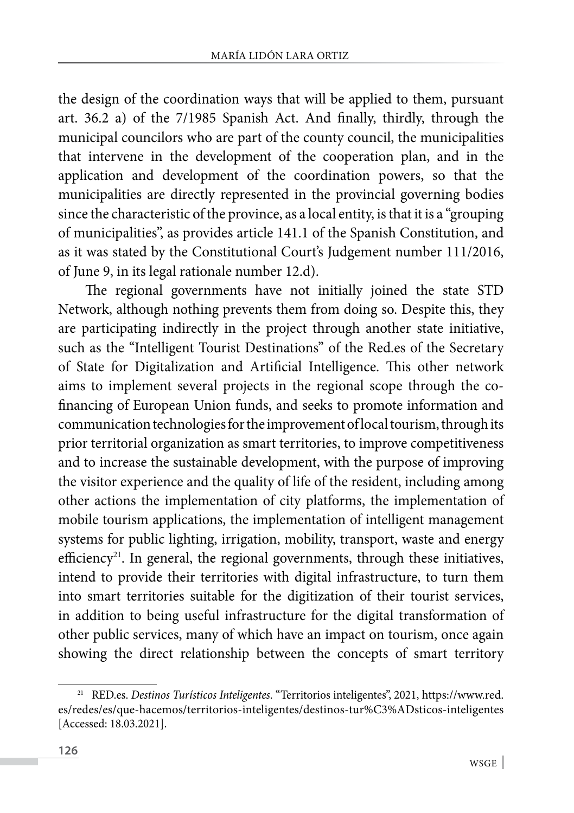the design of the coordination ways that will be applied to them, pursuant art. 36.2 a) of the 7/1985 Spanish Act. And finally, thirdly, through the municipal councilors who are part of the county council, the municipalities that intervene in the development of the cooperation plan, and in the application and development of the coordination powers, so that the municipalities are directly represented in the provincial governing bodies since the characteristic of the province, as a local entity, is that it is a "grouping of municipalities", as provides article 141.1 of the Spanish Constitution, and as it was stated by the Constitutional Court's Judgement number 111/2016, of June 9, in its legal rationale number 12.d).

The regional governments have not initially joined the state STD Network, although nothing prevents them from doing so. Despite this, they are participating indirectly in the project through another state initiative, such as the "Intelligent Tourist Destinations" of the Red.es of the Secretary of State for Digitalization and Artificial Intelligence. This other network aims to implement several projects in the regional scope through the cofinancing of European Union funds, and seeks to promote information and communication technologies for the improvement of local tourism, through its prior territorial organization as smart territories, to improve competitiveness and to increase the sustainable development, with the purpose of improving the visitor experience and the quality of life of the resident, including among other actions the implementation of city platforms, the implementation of mobile tourism applications, the implementation of intelligent management systems for public lighting, irrigation, mobility, transport, waste and energy efficiency<sup>21</sup>. In general, the regional governments, through these initiatives, intend to provide their territories with digital infrastructure, to turn them into smart territories suitable for the digitization of their tourist services, in addition to being useful infrastructure for the digital transformation of other public services, many of which have an impact on tourism, once again showing the direct relationship between the concepts of smart territory

<sup>21</sup> RED.es. *Destinos Turísticos Inteligentes*. "Territorios inteligentes", 2021, https://www.red. es/redes/es/que-hacemos/territorios-inteligentes/destinos-tur%C3%ADsticos-inteligentes [Accessed: 18.03.2021].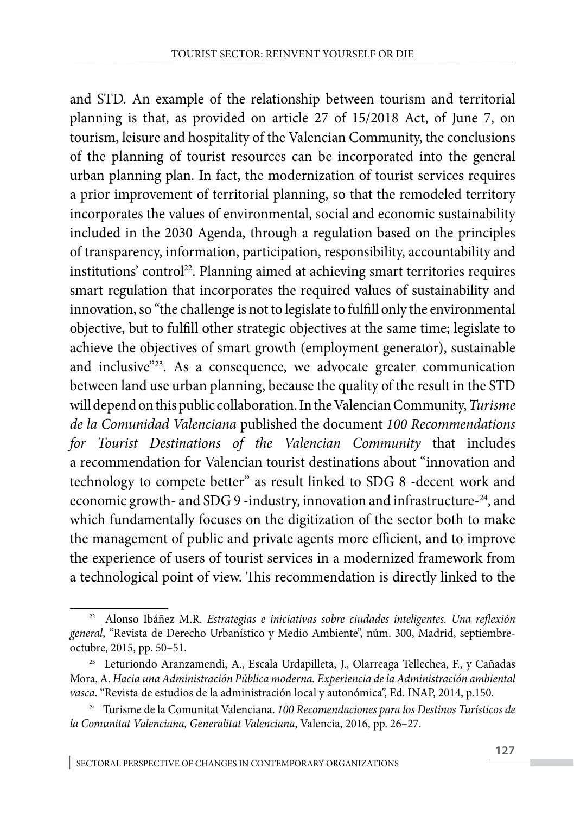and STD. An example of the relationship between tourism and territorial planning is that, as provided on article 27 of 15/2018 Act, of June 7, on tourism, leisure and hospitality of the Valencian Community, the conclusions of the planning of tourist resources can be incorporated into the general urban planning plan. In fact, the modernization of tourist services requires a prior improvement of territorial planning, so that the remodeled territory incorporates the values of environmental, social and economic sustainability included in the 2030 Agenda, through a regulation based on the principles of transparency, information, participation, responsibility, accountability and institutions' control<sup>22</sup>. Planning aimed at achieving smart territories requires smart regulation that incorporates the required values of sustainability and innovation, so "the challenge is not to legislate to fulfill only the environmental objective, but to fulfill other strategic objectives at the same time; legislate to achieve the objectives of smart growth (employment generator), sustainable and inclusive"<sup>23</sup>. As a consequence, we advocate greater communication between land use urban planning, because the quality of the result in the STD will depend on this public collaboration. In the Valencian Community, *Turisme de la Comunidad Valenciana* published the document *100 Recommendations for Tourist Destinations of the Valencian Community* that includes a recommendation for Valencian tourist destinations about "innovation and technology to compete better" as result linked to SDG 8 -decent work and economic growth- and SDG 9 -industry, innovation and infrastructure-24, and which fundamentally focuses on the digitization of the sector both to make the management of public and private agents more efficient, and to improve the experience of users of tourist services in a modernized framework from a technological point of view. This recommendation is directly linked to the

<sup>22</sup> Alonso Ibáñez M.R. *Estrategias e iniciativas sobre ciudades inteligentes. Una reflexión general*, "Revista de Derecho Urbanístico y Medio Ambiente", núm. 300, Madrid, septiembreoctubre, 2015, pp. 50–51.

<sup>23</sup> Leturiondo Aranzamendi, A., Escala Urdapilleta, J., Olarreaga Tellechea, F., y Cañadas Mora, A. *Hacia una Administración Pública moderna. Experiencia de la Administración ambiental vasca*. "Revista de estudios de la administración local y autonómica", Ed. INAP, 2014, p.150.

<sup>24</sup> Turisme de la Comunitat Valenciana. *100 Recomendaciones para los Destinos Turísticos de la Comunitat Valenciana, Generalitat Valenciana*, Valencia, 2016, pp. 26–27.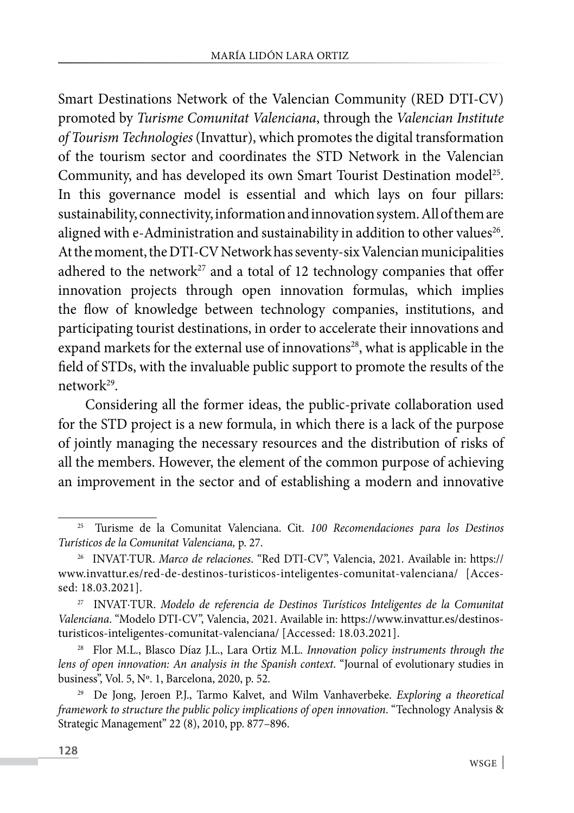Smart Destinations Network of the Valencian Community (RED DTI-CV) promoted by *Turisme Comunitat Valenciana*, through the *Valencian Institute of Tourism Technologies* (Invattur), which promotes the digital transformation of the tourism sector and coordinates the STD Network in the Valencian Community, and has developed its own Smart Tourist Destination model<sup>25</sup>. In this governance model is essential and which lays on four pillars: sustainability, connectivity, information and innovation system. All of them are aligned with e-Administration and sustainability in addition to other values<sup>26</sup>. At the moment, the DTI-CV Network has seventy-six Valencian municipalities adhered to the network<sup>27</sup> and a total of 12 technology companies that offer innovation projects through open innovation formulas, which implies the flow of knowledge between technology companies, institutions, and participating tourist destinations, in order to accelerate their innovations and expand markets for the external use of innovations<sup>28</sup>, what is applicable in the field of STDs, with the invaluable public support to promote the results of the network<sup>29</sup>.

Considering all the former ideas, the public-private collaboration used for the STD project is a new formula, in which there is a lack of the purpose of jointly managing the necessary resources and the distribution of risks of all the members. However, the element of the common purpose of achieving an improvement in the sector and of establishing a modern and innovative

<sup>25</sup> Turisme de la Comunitat Valenciana. Cit. *100 Recomendaciones para los Destinos Turísticos de la Comunitat Valenciana,* p. 27.

<sup>26</sup> INVAT·TUR. *Marco de relaciones*. "Red DTI-CV", Valencia, 2021. Available in: https:// www.invattur.es/red-de-destinos-turisticos-inteligentes-comunitat-valenciana/ [Accessed: 18.03.2021].

<sup>27</sup> INVAT·TUR. *Modelo de referencia de Destinos Turísticos Inteligentes de la Comunitat Valenciana*. "Modelo DTI-CV", Valencia, 2021. Available in: [https://www.invattur.es/destinos](https://www.invattur.es/destinos-turisticos-inteligentes-comunitat-valenciana/)[turisticos-inteligentes-comunitat-valenciana/](https://www.invattur.es/destinos-turisticos-inteligentes-comunitat-valenciana/) [Accessed: 18.03.2021].

<sup>28</sup> Flor M.L., Blasco Díaz J.L., Lara Ortiz M.L. *Innovation policy instruments through the lens of open innovation: An analysis in the Spanish context*. "Journal of evolutionary studies in business", Vol. 5, Nº. 1, Barcelona, 2020, p. 52.

<sup>29</sup> De Jong, Jeroen P.J., Tarmo Kalvet, and Wilm Vanhaverbeke. *Exploring a theoretical framework to structure the public policy implications of open innovation*. "Technology Analysis & Strategic Management" 22 (8), 2010, pp. 877–896.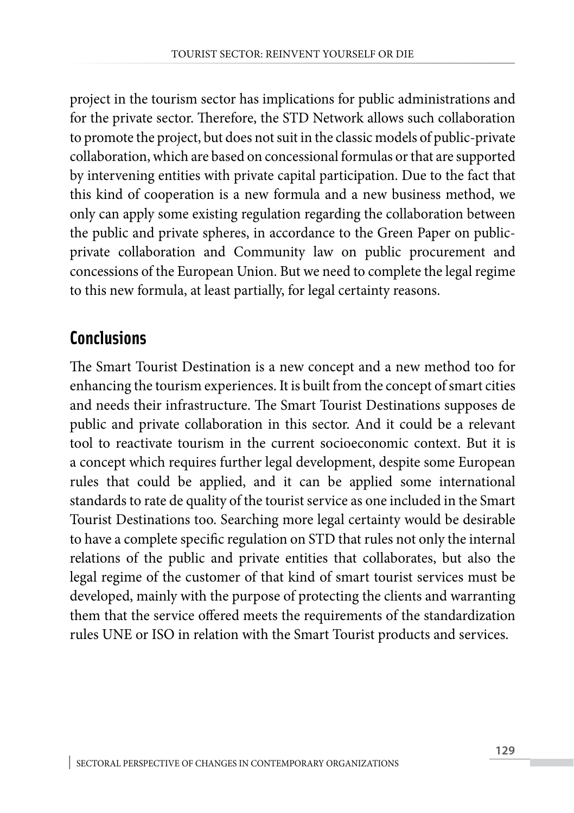project in the tourism sector has implications for public administrations and for the private sector. Therefore, the STD Network allows such collaboration to promote the project, but does not suit in the classic models of public-private collaboration, which are based on concessional formulas or that are supported by intervening entities with private capital participation. Due to the fact that this kind of cooperation is a new formula and a new business method, we only can apply some existing regulation regarding the collaboration between the public and private spheres, in accordance to the Green Paper on publicprivate collaboration and Community law on public procurement and concessions of the European Union. But we need to complete the legal regime to this new formula, at least partially, for legal certainty reasons.

#### **Conclusions**

The Smart Tourist Destination is a new concept and a new method too for enhancing the tourism experiences. It is built from the concept of smart cities and needs their infrastructure. The Smart Tourist Destinations supposes de public and private collaboration in this sector. And it could be a relevant tool to reactivate tourism in the current socioeconomic context. But it is a concept which requires further legal development, despite some European rules that could be applied, and it can be applied some international standards to rate de quality of the tourist service as one included in the Smart Tourist Destinations too. Searching more legal certainty would be desirable to have a complete specific regulation on STD that rules not only the internal relations of the public and private entities that collaborates, but also the legal regime of the customer of that kind of smart tourist services must be developed, mainly with the purpose of protecting the clients and warranting them that the service offered meets the requirements of the standardization rules UNE or ISO in relation with the Smart Tourist products and services.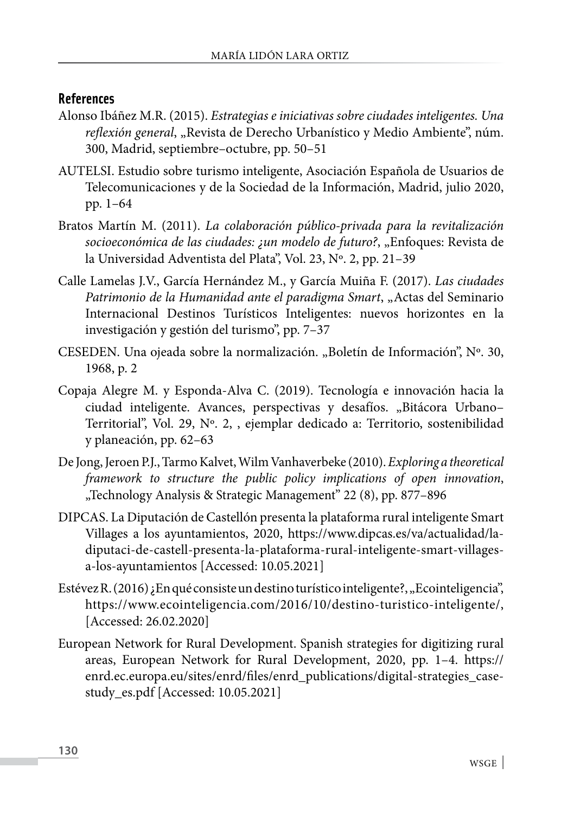#### **References**

- Alonso Ibáñez M.R. (2015). *Estrategias e iniciativas sobre ciudades inteligentes. Una reflexión general*, "Revista de Derecho Urbanístico y Medio Ambiente", núm. 300, Madrid, septiembre–octubre, pp. 50–51
- AUTELSI. Estudio sobre turismo inteligente, Asociación Española de Usuarios de Telecomunicaciones y de la Sociedad de la Información, Madrid, julio 2020, pp. 1–64
- Bratos Martín M. (2011). *La colaboración público-privada para la revitalización socioeconómica de las ciudades: ¿un modelo de futuro?*, "Enfoques: Revista de la Universidad Adventista del Plata", Vol. 23, Nº. 2, pp. 21–39
- Calle Lamelas J.V., García Hernández M., y García Muiña F. (2017). *Las ciudades Patrimonio de la Humanidad ante el paradigma Smart*, "Actas del Seminario Internacional Destinos Turísticos Inteligentes: nuevos horizontes en la investigación y gestión del turismo", pp. 7–37
- CESEDEN. Una ojeada sobre la normalización. "Boletín de Información", Nº. 30, 1968, p. 2
- Copaja Alegre M. y Esponda-Alva C. (2019). Tecnología e innovación hacia la ciudad inteligente. Avances, perspectivas y desafíos. "Bitácora Urbano-Territorial", Vol. 29, Nº. 2, , ejemplar dedicado a: Territorio, sostenibilidad y planeación, pp. 62–63
- De Jong, Jeroen P.J., Tarmo Kalvet, Wilm Vanhaverbeke (2010). *Exploring a theoretical framework to structure the public policy implications of open innovation*, "Technology Analysis & Strategic Management" 22 (8), pp. 877–896
- DIPCAS. La Diputación de Castellón presenta la plataforma rural inteligente Smart Villages a los ayuntamientos, 2020, [https://www.dipcas.es/va/actualidad/la](https://www.dipcas.es/va/actualidad/la-diputaci-de-castell-presenta-la-plataforma-rural-inteligente-smart-villages-a-los-ayuntamientos)[diputaci-de-castell-presenta-la-plataforma-rural-inteligente-smart-villages](https://www.dipcas.es/va/actualidad/la-diputaci-de-castell-presenta-la-plataforma-rural-inteligente-smart-villages-a-los-ayuntamientos)[a-los-ayuntamientos](https://www.dipcas.es/va/actualidad/la-diputaci-de-castell-presenta-la-plataforma-rural-inteligente-smart-villages-a-los-ayuntamientos) [Accessed: 10.05.2021]
- Estévez R. (2016) ¿En qué consiste un destino turístico inteligente?, "Ecointeligencia", <https://www.ecointeligencia.com/2016/10/destino-turistico-inteligente/>, [Accessed: 26.02.2020]
- European Network for Rural Development. Spanish strategies for digitizing rural areas, European Network for Rural Development, 2020, pp. 1–4. https:// enrd.ec.europa.eu/sites/enrd/files/enrd\_publications/digital-strategies\_casestudy\_es.pdf [Accessed: 10.05.2021]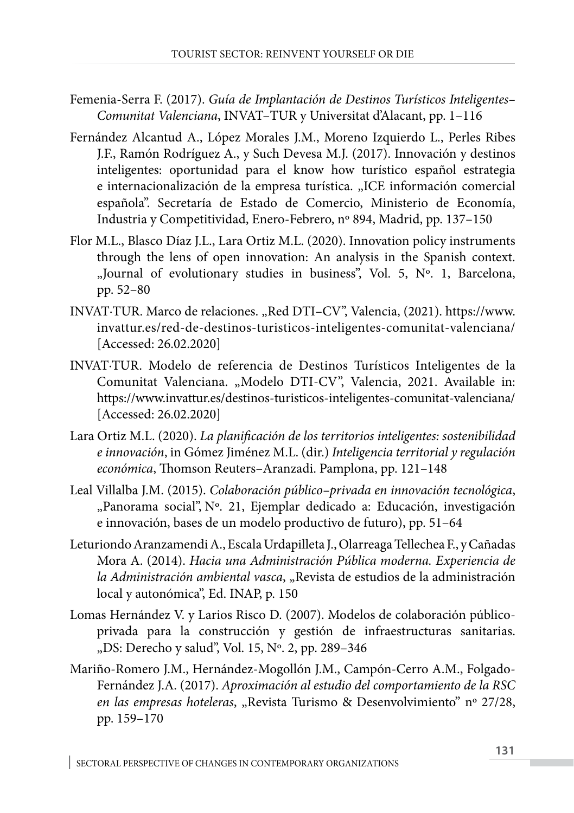- Femenia-Serra F. (2017). *Guía de Implantación de Destinos Turísticos Inteligentes– Comunitat Valenciana*, INVAT–TUR y Universitat d'Alacant, pp. 1–116
- Fernández Alcantud A., López Morales J.M., Moreno Izquierdo L., Perles Ribes J.F., Ramón Rodríguez A., y Such Devesa M.J. (2017). Innovación y destinos inteligentes: oportunidad para el know how turístico español estrategia e internacionalización de la empresa turística. "ICE información comercial española". Secretaría de Estado de Comercio, Ministerio de Economía, Industria y Competitividad, Enero-Febrero, nº 894, Madrid, pp. 137–150
- Flor M.L., Blasco Díaz J.L., Lara Ortiz M.L. (2020). Innovation policy instruments through the lens of open innovation: An analysis in the Spanish context. "Journal of evolutionary studies in business", Vol. 5, Nº. 1, Barcelona, pp. 52–80
- INVAT·TUR. Marco de relaciones. "Red DTI-CV", Valencia, (2021). https://www. invattur.es/red-de-destinos-turisticos-inteligentes-comunitat-valenciana/ [Accessed: 26.02.2020]
- INVAT·TUR. Modelo de referencia de Destinos Turísticos Inteligentes de la Comunitat Valenciana. "Modelo DTI-CV", Valencia, 2021. Available in: <https://www.invattur.es/destinos-turisticos-inteligentes-comunitat-valenciana/> [Accessed: 26.02.2020]
- Lara Ortiz M.L. (2020). *La planificación de los territorios inteligentes: sostenibilidad e innovación*, in Gómez Jiménez M.L. (dir.) *Inteligencia territorial y regulación económica*, Thomson Reuters–Aranzadi. Pamplona, pp. 121–148
- Leal Villalba J.M. (2015). *Colaboración público–privada en innovación tecnológica*, ["Panorama social"](https://dialnet.unirioja.es/servlet/revista?codigo=7368), [Nº. 21,](https://dialnet.unirioja.es/ejemplar/484753) Ejemplar dedicado a: Educación, investigación e innovación, bases de un modelo productivo de futuro), pp. 51–64
- Leturiondo Aranzamendi A., Escala Urdapilleta J., Olarreaga Tellechea F., y Cañadas Mora A. (2014). *Hacia una Administración Pública moderna. Experiencia de la Administración ambiental vasca*, "Revista de estudios de la administración local y autonómica", Ed. INAP, p. 150
- Lomas Hernández V. y Larios Risco D. (2007). Modelos de colaboración públicoprivada para la construcción y gestión de infraestructuras sanitarias. "DS: Derecho y salud", Vol. 15, Nº. 2, pp. 289-346
- Mariño-Romero J.M., Hernández-Mogollón J.M., Campón-Cerro A.M., Folgado-Fernández J.A. (2017). *Aproximación al estudio del comportamiento de la RSC en las empresas hoteleras*, "Revista Turismo & Desenvolvimiento" nº 27/28, pp. 159–170